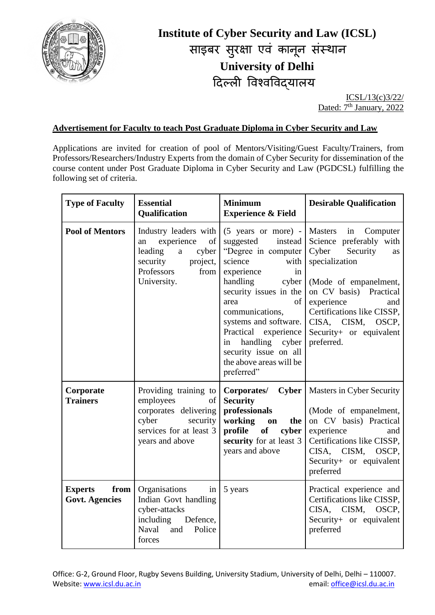

## **Institute of Cyber Security and Law (ICSL)** साइबर सुरक्षा एव कानून सस्थान **University of Delhi** दिल्ली ववश्वववद्यालय

ICSL/13(c)3/22/ Dated: 7<sup>th</sup> January, 2022

## **Advertisement for Faculty to teach Post Graduate Diploma in Cyber Security and Law**

Applications are invited for creation of pool of Mentors/Visiting/Guest Faculty/Trainers, from Professors/Researchers/Industry Experts from the domain of Cyber Security for dissemination of the course content under Post Graduate Diploma in Cyber Security and Law (PGDCSL) fulfilling the following set of criteria.

| <b>Type of Faculty</b>                          | <b>Essential</b><br>Qualification                                                                                                                  | <b>Minimum</b><br><b>Experience &amp; Field</b>                                                                                                                                                                                                                                                                                                                | <b>Desirable Qualification</b>                                                                                                                                                                                                                             |
|-------------------------------------------------|----------------------------------------------------------------------------------------------------------------------------------------------------|----------------------------------------------------------------------------------------------------------------------------------------------------------------------------------------------------------------------------------------------------------------------------------------------------------------------------------------------------------------|------------------------------------------------------------------------------------------------------------------------------------------------------------------------------------------------------------------------------------------------------------|
| <b>Pool of Mentors</b>                          | Industry leaders with<br>of  <br>experience<br>an<br>leading<br>cyber<br>$\mathbf{a}$<br>project,<br>security<br>Professors<br>from<br>University. | $(5 \text{ years} \text{ or more})$ - Masters<br>suggested<br>instead<br>"Degree in computer<br>science<br>with<br>experience<br>in<br>handling<br>cyber<br>security issues in the<br>of<br>area<br>communications,<br>systems and software.<br>Practical experience<br>handling cyber<br>in<br>security issue on all<br>the above areas will be<br>preferred" | in Computer<br>Science preferably with<br>Cyber<br>Security<br>as<br>specialization<br>(Mode of empanelment,<br>on CV basis) Practical<br>experience<br>and<br>Certifications like CISSP,<br>CISA, CISM,<br>OSCP,<br>Security+ or equivalent<br>preferred. |
| Corporate<br><b>Trainers</b>                    | Providing training to<br>employees<br>of  <br>corporates delivering<br>cyber<br>security<br>services for at least 3<br>years and above             | <b>Cyber</b><br>Corporates/<br><b>Security</b><br>professionals<br>working<br>the<br>on<br>profile<br>of<br>cyber<br>security for at least 3<br>years and above                                                                                                                                                                                                | Masters in Cyber Security<br>(Mode of empanelment,<br>on CV basis) Practical<br>experience<br>and<br>Certifications like CISSP,<br>CISA, CISM,<br>OSCP,<br>Security+ or equivalent<br>preferred                                                            |
| from<br><b>Experts</b><br><b>Govt. Agencies</b> | Organisations<br>in<br>Indian Govt handling<br>cyber-attacks<br>including<br>Defence,<br>Police<br><b>Naval</b><br>and<br>forces                   | 5 years                                                                                                                                                                                                                                                                                                                                                        | Practical experience and<br>Certifications like CISSP,<br>CISA, CISM,<br>OSCP,<br>Security+ or equivalent<br>preferred                                                                                                                                     |